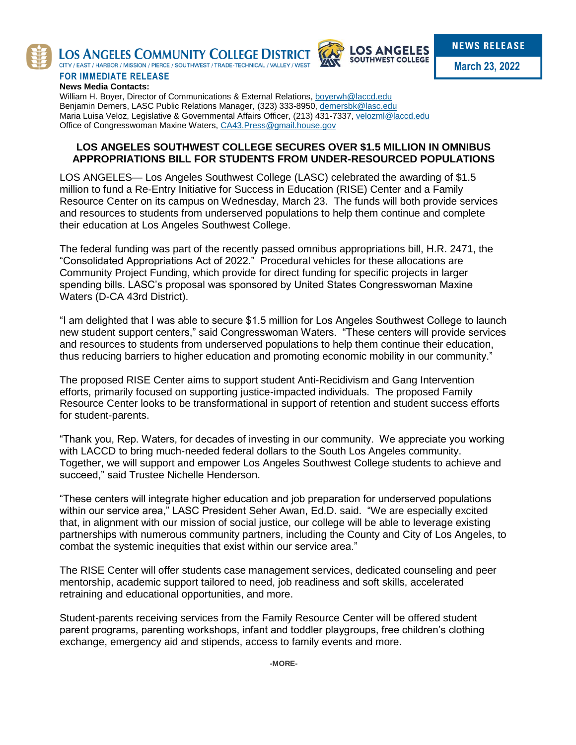

LOS ANGELES COMMUNITY COLLEGE DISTRICT CITY / EAST / HARBOR / MISSION / PIERCE / SOUTHWEST / TRADE-TECHNICAL / VALLEY / WEST



**March 23, 2022**

## **FOR IMMEDIATE RELEASE News Media Contacts:**

William H. Boyer, Director of Communications & External Relations, [boyerwh@laccd.edu](mailto:boyerwh@laccd.edu) Benjamin Demers, LASC Public Relations Manager, (323) 333-8950, [demersbk@lasc.edu](mailto:demersbk@lasc.edu) Maria Luisa Veloz, Legislative & Governmental Affairs Officer, (213) 431-7337[, velozml@laccd.edu](mailto:velozml@laccd.edu) Office of Congresswoman Maxine Waters, CA43. Press@gmail.house.gov

## **LOS ANGELES SOUTHWEST COLLEGE SECURES OVER \$1.5 MILLION IN OMNIBUS APPROPRIATIONS BILL FOR STUDENTS FROM UNDER-RESOURCED POPULATIONS**

LOS ANGELES— Los Angeles Southwest College (LASC) celebrated the awarding of \$1.5 million to fund a Re-Entry Initiative for Success in Education (RISE) Center and a Family Resource Center on its campus on Wednesday, March 23. The funds will both provide services and resources to students from underserved populations to help them continue and complete their education at Los Angeles Southwest College.

The federal funding was part of the recently passed omnibus appropriations bill, H.R. 2471, the "Consolidated Appropriations Act of 2022." Procedural vehicles for these allocations are Community Project Funding, which provide for direct funding for specific projects in larger spending bills. LASC's proposal was sponsored by United States Congresswoman Maxine Waters (D-CA 43rd District).

"I am delighted that I was able to secure \$1.5 million for Los Angeles Southwest College to launch new student support centers," said Congresswoman Waters. "These centers will provide services and resources to students from underserved populations to help them continue their education, thus reducing barriers to higher education and promoting economic mobility in our community."

The proposed RISE Center aims to support student Anti-Recidivism and Gang Intervention efforts, primarily focused on supporting justice-impacted individuals. The proposed Family Resource Center looks to be transformational in support of retention and student success efforts for student-parents.

"Thank you, Rep. Waters, for decades of investing in our community. We appreciate you working with LACCD to bring much-needed federal dollars to the South Los Angeles community. Together, we will support and empower Los Angeles Southwest College students to achieve and succeed," said Trustee Nichelle Henderson.

"These centers will integrate higher education and job preparation for underserved populations within our service area," LASC President Seher Awan, Ed.D. said. "We are especially excited that, in alignment with our mission of social justice, our college will be able to leverage existing partnerships with numerous community partners, including the County and City of Los Angeles, to combat the systemic inequities that exist within our service area."

The RISE Center will offer students case management services, dedicated counseling and peer mentorship, academic support tailored to need, job readiness and soft skills, accelerated retraining and educational opportunities, and more.

Student-parents receiving services from the Family Resource Center will be offered student parent programs, parenting workshops, infant and toddler playgroups, free children's clothing exchange, emergency aid and stipends, access to family events and more.